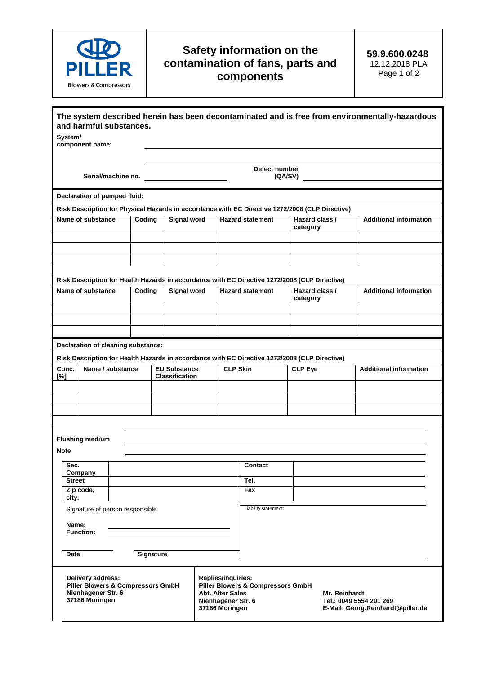

## **Safety information on the contamination of fans, parts and components**

| The system described herein has been decontaminated and is free from environmentally-hazardous<br>and harmful substances.                                                                                                                                                                                                           |  |        |                                              |                          |                         |                            |                               |
|-------------------------------------------------------------------------------------------------------------------------------------------------------------------------------------------------------------------------------------------------------------------------------------------------------------------------------------|--|--------|----------------------------------------------|--------------------------|-------------------------|----------------------------|-------------------------------|
| System/<br>component name:                                                                                                                                                                                                                                                                                                          |  |        |                                              |                          |                         |                            |                               |
| Serial/machine no.                                                                                                                                                                                                                                                                                                                  |  |        |                                              | Defect number<br>(QA/SV) |                         |                            |                               |
| Declaration of pumped fluid:                                                                                                                                                                                                                                                                                                        |  |        |                                              |                          |                         |                            |                               |
| Risk Description for Physical Hazards in accordance with EC Directive 1272/2008 (CLP Directive)                                                                                                                                                                                                                                     |  |        |                                              |                          |                         |                            |                               |
| Name of substance                                                                                                                                                                                                                                                                                                                   |  | Coding | <b>Signal word</b>                           |                          | <b>Hazard statement</b> | Hazard class /<br>category | <b>Additional information</b> |
|                                                                                                                                                                                                                                                                                                                                     |  |        |                                              |                          |                         |                            |                               |
|                                                                                                                                                                                                                                                                                                                                     |  |        |                                              |                          |                         |                            |                               |
| Risk Description for Health Hazards in accordance with EC Directive 1272/2008 (CLP Directive)                                                                                                                                                                                                                                       |  |        |                                              |                          |                         |                            |                               |
| Name of substance                                                                                                                                                                                                                                                                                                                   |  | Coding | <b>Signal word</b>                           |                          | <b>Hazard statement</b> | Hazard class /<br>category | <b>Additional information</b> |
|                                                                                                                                                                                                                                                                                                                                     |  |        |                                              |                          |                         |                            |                               |
|                                                                                                                                                                                                                                                                                                                                     |  |        |                                              |                          |                         |                            |                               |
|                                                                                                                                                                                                                                                                                                                                     |  |        |                                              |                          |                         |                            |                               |
| Declaration of cleaning substance:                                                                                                                                                                                                                                                                                                  |  |        |                                              |                          |                         |                            |                               |
| Risk Description for Health Hazards in accordance with EC Directive 1272/2008 (CLP Directive)                                                                                                                                                                                                                                       |  |        |                                              |                          |                         |                            |                               |
| Name / substance<br>Conc.<br>[%]                                                                                                                                                                                                                                                                                                    |  |        | <b>EU Substance</b><br><b>Classification</b> |                          | <b>CLP Skin</b>         | <b>CLP Eye</b>             | <b>Additional information</b> |
|                                                                                                                                                                                                                                                                                                                                     |  |        |                                              |                          |                         |                            |                               |
|                                                                                                                                                                                                                                                                                                                                     |  |        |                                              |                          |                         |                            |                               |
|                                                                                                                                                                                                                                                                                                                                     |  |        |                                              |                          |                         |                            |                               |
|                                                                                                                                                                                                                                                                                                                                     |  |        |                                              |                          |                         |                            |                               |
| <b>Flushing medium</b>                                                                                                                                                                                                                                                                                                              |  |        |                                              |                          |                         |                            |                               |
| <b>Note</b>                                                                                                                                                                                                                                                                                                                         |  |        |                                              |                          |                         |                            |                               |
| Sec.<br>Company                                                                                                                                                                                                                                                                                                                     |  |        |                                              |                          | Contact                 |                            |                               |
| <b>Street</b>                                                                                                                                                                                                                                                                                                                       |  |        |                                              |                          | Tel.                    |                            |                               |
| Zip code,<br>city:                                                                                                                                                                                                                                                                                                                  |  |        |                                              |                          | Fax                     |                            |                               |
| Signature of person responsible                                                                                                                                                                                                                                                                                                     |  |        |                                              |                          | Liability statement:    |                            |                               |
| Name:                                                                                                                                                                                                                                                                                                                               |  |        |                                              |                          |                         |                            |                               |
| <b>Function:</b>                                                                                                                                                                                                                                                                                                                    |  |        |                                              |                          |                         |                            |                               |
|                                                                                                                                                                                                                                                                                                                                     |  |        |                                              |                          |                         |                            |                               |
| <b>Signature</b><br>Date                                                                                                                                                                                                                                                                                                            |  |        |                                              |                          |                         |                            |                               |
| Delivery address:<br>Replies/inquiries:<br><b>Piller Blowers &amp; Compressors GmbH</b><br><b>Piller Blowers &amp; Compressors GmbH</b><br>Nienhagener Str. 6<br><b>Abt. After Sales</b><br>Mr. Reinhardt<br>37186 Moringen<br>Nienhagener Str. 6<br>Tel.: 0049 5554 201 269<br>37186 Moringen<br>E-Mail: Georg.Reinhardt@piller.de |  |        |                                              |                          |                         |                            |                               |